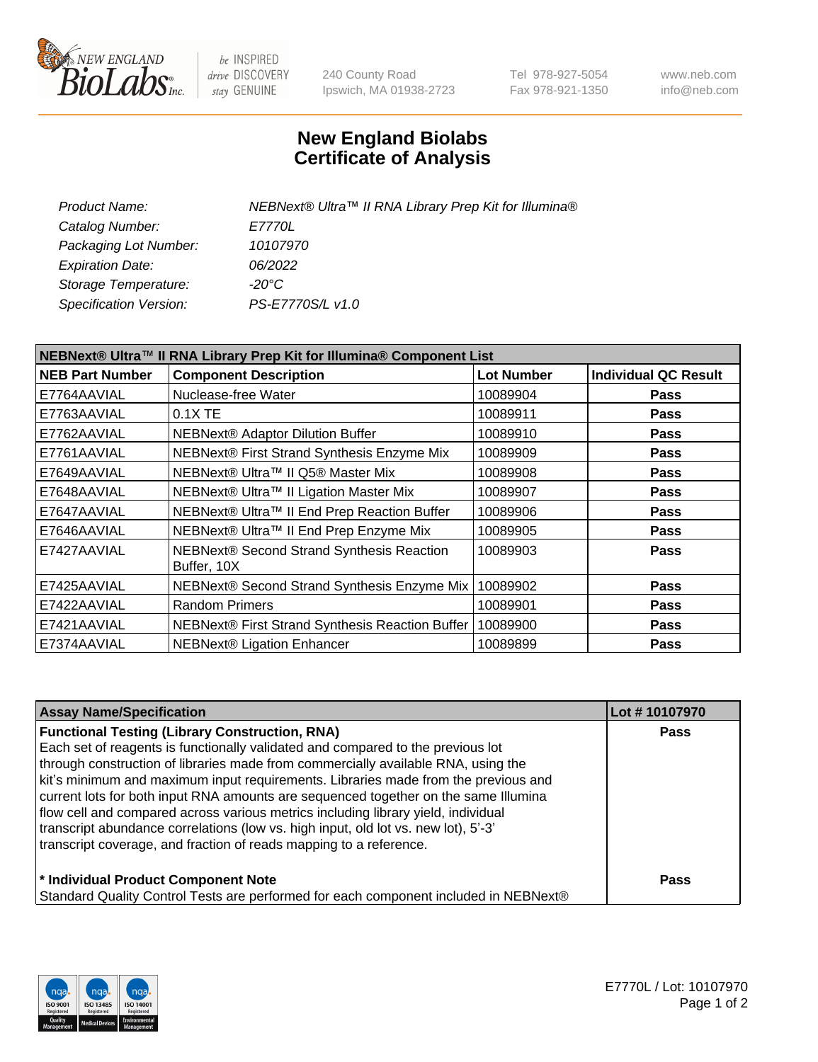

be INSPIRED drive DISCOVERY stay GENUINE

240 County Road Ipswich, MA 01938-2723 Tel 978-927-5054 Fax 978-921-1350 www.neb.com info@neb.com

## **New England Biolabs Certificate of Analysis**

| <b>Product Name:</b>    | NEBNext® Ultra™ II RNA Library Prep Kit for Illumina® |
|-------------------------|-------------------------------------------------------|
| Catalog Number:         | <i>E7770L</i>                                         |
| Packaging Lot Number:   | 10107970                                              |
| <b>Expiration Date:</b> | 06/2022                                               |
| Storage Temperature:    | -20°C                                                 |
| Specification Version:  | PS-E7770S/L v1.0                                      |
|                         |                                                       |

| NEBNext® Ultra™ II RNA Library Prep Kit for Illumina® Component List |                                                            |                   |                             |  |
|----------------------------------------------------------------------|------------------------------------------------------------|-------------------|-----------------------------|--|
| <b>NEB Part Number</b>                                               | <b>Component Description</b>                               | <b>Lot Number</b> | <b>Individual QC Result</b> |  |
| E7764AAVIAL                                                          | Nuclease-free Water                                        | 10089904          | <b>Pass</b>                 |  |
| E7763AAVIAL                                                          | 0.1X TE                                                    | 10089911          | <b>Pass</b>                 |  |
| E7762AAVIAL                                                          | <b>NEBNext® Adaptor Dilution Buffer</b>                    | 10089910          | <b>Pass</b>                 |  |
| E7761AAVIAL                                                          | NEBNext® First Strand Synthesis Enzyme Mix                 | 10089909          | <b>Pass</b>                 |  |
| E7649AAVIAL                                                          | NEBNext® Ultra™ II Q5® Master Mix                          | 10089908          | <b>Pass</b>                 |  |
| E7648AAVIAL                                                          | NEBNext® Ultra™ II Ligation Master Mix                     | 10089907          | <b>Pass</b>                 |  |
| E7647AAVIAL                                                          | NEBNext® Ultra™ II End Prep Reaction Buffer                | 10089906          | <b>Pass</b>                 |  |
| E7646AAVIAL                                                          | NEBNext® Ultra™ II End Prep Enzyme Mix                     | 10089905          | <b>Pass</b>                 |  |
| E7427AAVIAL                                                          | NEBNext® Second Strand Synthesis Reaction<br>Buffer, 10X   | 10089903          | <b>Pass</b>                 |  |
| E7425AAVIAL                                                          | NEBNext® Second Strand Synthesis Enzyme Mix                | 10089902          | <b>Pass</b>                 |  |
| E7422AAVIAL                                                          | <b>Random Primers</b>                                      | 10089901          | <b>Pass</b>                 |  |
| E7421AAVIAL                                                          | NEBNext® First Strand Synthesis Reaction Buffer   10089900 |                   | <b>Pass</b>                 |  |
| E7374AAVIAL                                                          | NEBNext® Ligation Enhancer                                 | 10089899          | <b>Pass</b>                 |  |

| <b>Assay Name/Specification</b>                                                      | Lot #10107970 |
|--------------------------------------------------------------------------------------|---------------|
| <b>Functional Testing (Library Construction, RNA)</b>                                | <b>Pass</b>   |
| Each set of reagents is functionally validated and compared to the previous lot      |               |
| through construction of libraries made from commercially available RNA, using the    |               |
| kit's minimum and maximum input requirements. Libraries made from the previous and   |               |
| current lots for both input RNA amounts are sequenced together on the same Illumina  |               |
| flow cell and compared across various metrics including library yield, individual    |               |
| transcript abundance correlations (low vs. high input, old lot vs. new lot), 5'-3'   |               |
| transcript coverage, and fraction of reads mapping to a reference.                   |               |
| * Individual Product Component Note                                                  | <b>Pass</b>   |
| Standard Quality Control Tests are performed for each component included in NEBNext® |               |